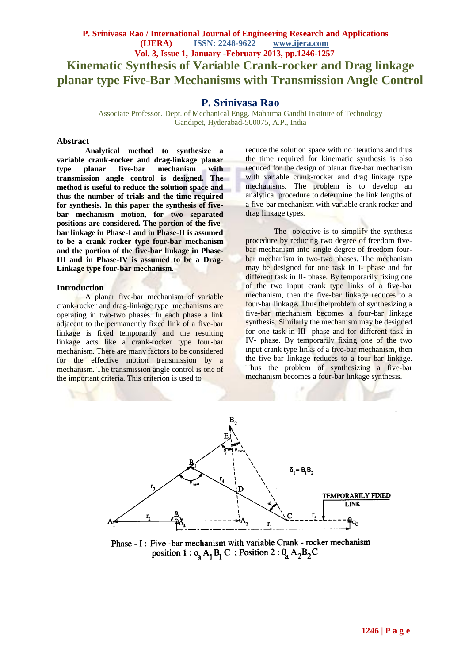## **P. Srinivasa Rao / International Journal of Engineering Research and Applications (IJERA) ISSN: 2248-9622 www.ijera.com Vol. 3, Issue 1, January -February 2013, pp.1246-1257 Kinematic Synthesis of Variable Crank-rocker and Drag linkage planar type Five-Bar Mechanisms with Transmission Angle Control**

## **P. Srinivasa Rao**

Associate Professor. Dept. of Mechanical Engg. Mahatma Gandhi Institute of Technology Gandipet, Hyderabad-500075, A.P., India

#### **Abstract**

**Analytical method to synthesize a variable crank-rocker and drag-linkage planar type planar five-bar mechanism with transmission angle control is designed. The method is useful to reduce the solution space and thus the number of trials and the time required for synthesis. In this paper the synthesis of fivebar mechanism motion, for two separated positions are considered. The portion of the fivebar linkage in Phase-I and in Phase-II is assumed to be a crank rocker type four-bar mechanism and the portion of the five-bar linkage in Phase-III and in Phase-IV is assumed to be a Drag-Linkage type four-bar mechanism**.

#### **Introduction**

A planar five-bar mechanism of variable crank-rocker and drag-linkage type mechanisms are operating in two-two phases. In each phase a link adjacent to the permanently fixed link of a five-bar linkage is fixed temporarily and the resulting linkage acts like a crank-rocker type four-bar mechanism. There are many factors to be considered for the effective motion transmission by a mechanism. The transmission angle control is one of the important criteria. This criterion is used to

reduce the solution space with no iterations and thus the time required for kinematic synthesis is also reduced for the design of planar five-bar mechanism with variable crank-rocker and drag linkage type mechanisms. The problem is to develop an analytical procedure to determine the link lengths of a five-bar mechanism with variable crank rocker and drag linkage types.

The objective is to simplify the synthesis procedure by reducing two degree of freedom fivebar mechanism into single degree of freedom fourbar mechanism in two-two phases. The mechanism may be designed for one task in I- phase and for different task in II- phase. By temporarily fixing one of the two input crank type links of a five-bar mechanism, then the five-bar linkage reduces to a four-bar linkage. Thus the problem of synthesizing a five-bar mechanism becomes a four-bar linkage synthesis. Similarly the mechanism may be designed for one task in III- phase and for different task in IV- phase. By temporarily fixing one of the two input crank type links of a five-bar mechanism, then the five-bar linkage reduces to a four-bar linkage. Thus the problem of synthesizing a five-bar mechanism becomes a four-bar linkage synthesis.



Phase - I : Five -bar mechanism with variable Crank - rocker mechanism position 1 :  $o<sub>a</sub> A<sub>1</sub> B<sub>1</sub> C$ ; Position 2 :  $0<sub>a</sub> A<sub>2</sub> B<sub>2</sub> C$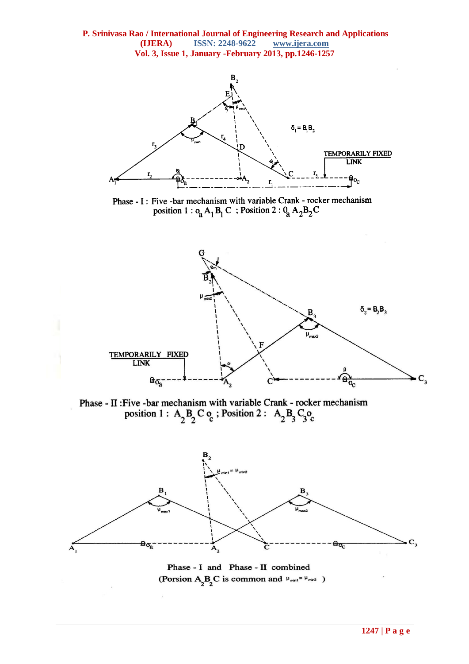

Phase - I : Five - bar mechanism with variable Crank - rocker mechanism position 1 :  $o_{\hat{a}}A_1B_1C$ ; Position 2 :  $0_{\hat{a}}A_2B_2C$ 



Phase - II : Five -bar mechanism with variable Crank - rocker mechanism position 1 :  $A_2B_2C_0$ ; Position 2 :  $A_2B_3C_3O_0$ 



Phase - I and Phase - II combined (Porsion  $A_2B_2C$  is common and  $\mu_{\text{min}} = \mu_{\text{min2}}$ )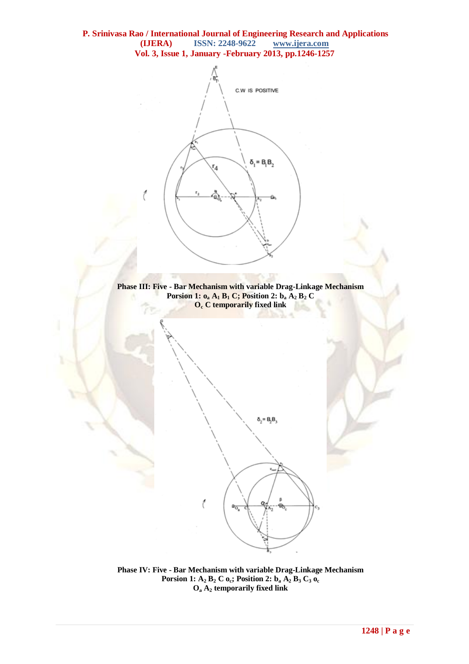



 $\delta_2 = B_2B_1$ 

**Phase IV: Five - Bar Mechanism with variable Drag-Linkage Mechanism Porsion 1: A<sup>2</sup> B<sup>2</sup> C oc; Position 2: b<sup>a</sup> A<sup>2</sup> B<sup>3</sup> C<sup>3</sup> o<sup>c</sup> O<sup>a</sup> A<sup>2</sup> temporarily fixed link**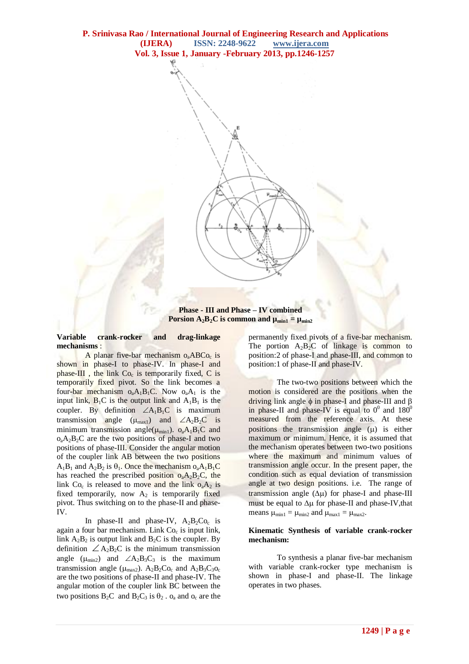

**Phase - III and Phase – IV combined Porsion A<sub>2</sub><b>B**<sub>2</sub>**C** is common and  $\mu_{\text{min1}} = \mu_{\text{min2}}$ 

**Variable crank-rocker and drag-linkage mechanisms** :

A planar five-bar mechanism  $o_a ABCo_c$  is shown in phase-I to phase-IV. In phase-I and phase-III, the link  $Co<sub>c</sub>$  is temporarily fixed, C is temporarily fixed pivot. So the link becomes a four-bar mechanism  $o_aA_1B_1C$ . Now  $o_aA_1$  is the input link,  $B_1C$  is the output link and  $A_1B_1$  is the coupler. By definition  $\angle A_1B_1C$  is maximum transmission angle  $(\mu_{max1})$  and  $\angle A_2B_2C$  is minimum transmission angle( $\mu_{min1}$ ).  $o_aA_1B_1C$  and  $o<sub>a</sub>A<sub>2</sub>B<sub>2</sub>C$  are the two positions of phase-I and two positions of phase-III. Consider the angular motion of the coupler link AB between the two positions  $A_1B_1$  and  $A_2B_2$  is  $\theta_1$ . Once the mechanism  $o_3A_1B_1C_2$ has reached the prescribed position  $o_aA_2B_2C$ , the link  $Co_c$  is released to move and the link  $o_aA_2$  is fixed temporarily, now  $A_2$  is temporarily fixed pivot. Thus switching on to the phase-II and phase-IV.

In phase-II and phase-IV,  $A_2B_2Co_c$  is again a four bar mechanism. Link Co<sub>c</sub> is input link, link  $A_2B_2$  is output link and  $B_2C$  is the coupler. By definition  $\angle A_2B_2C$  is the minimum transmission angle  $(\mu_{min2})$  and  $\angle A_2B_3C_3$  is the maximum transmission angle ( $\mu_{\text{max}}$ ).  $A_2B_2C_0$  and  $A_2B_3C_3O_c$ are the two positions of phase-II and phase-IV. The angular motion of the coupler link BC between the two positions  $B_2C$  and  $B_2C_3$  is  $\theta_2 \cdot \theta_3$  and  $\theta_0$  are the

permanently fixed pivots of a five-bar mechanism. The portion  $A_2B_2C$  of linkage is common to position:2 of phase-I and phase-III, and common to position:1 of phase-II and phase-IV.

The two-two positions between which the motion is considered are the positions when the driving link angle  $\phi$  in phase-I and phase-III and  $\beta$ in phase-II and phase-IV is equal to  $0^0$  and  $180^0$ measured from the reference axis. At these positions the transmission angle  $(\mu)$  is either maximum or minimum. Hence, it is assumed that the mechanism operates between two-two positions where the maximum and minimum values of transmission angle occur. In the present paper, the condition such as equal deviation of transmission angle at two design positions. i.e. The range of transmission angle  $(\Delta \mu)$  for phase-I and phase-III must be equal to  $\Delta \mu$  for phase-II and phase-IV, that means  $\mu_{min1} = \mu_{min2}$  and  $\mu_{max1} = \mu_{max2}$ .

#### **Kinematic Synthesis of variable crank-rocker mechanism:**

To synthesis a planar five-bar mechanism with variable crank-rocker type mechanism is shown in phase-I and phase-II. The linkage operates in two phases.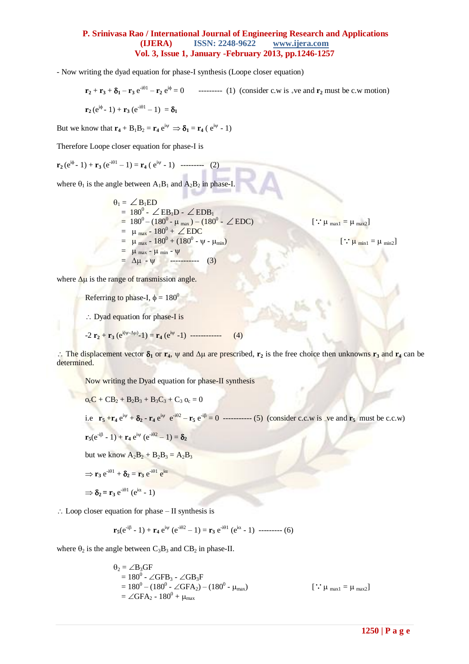- Now writing the dyad equation for phase-I synthesis (Loope closer equation)

$$
\mathbf{r}_2 + \mathbf{r}_3 + \delta_1 - \mathbf{r}_3 e^{-i\theta_1} - \mathbf{r}_2 e^{i\phi} = 0 \qquad \text{........ (1) (consider c.w is +ve and } \mathbf{r}_2 \text{ must be c.w motion)}
$$
\n
$$
\mathbf{r}_2 (e^{i\phi} - 1) + \mathbf{r}_3 (e^{-i\theta_1} - 1) = \delta_1
$$

But we know that  $\mathbf{r}_4 + \mathbf{B}_1 \mathbf{B}_2 = \mathbf{r}_4 e^{i\psi} \Rightarrow \delta_1 = \mathbf{r}_4 (e^{i\psi} - 1)$ 

Therefore Loope closer equation for phase-I is

$$
\mathbf{r}_2(e^{i\phi}-1)+\mathbf{r}_3(e^{-i\theta 1}-1)=\mathbf{r}_4(e^{i\psi}-1) \quad \text{-----} \quad (2)
$$

where  $\theta_1$  is the angle between  $A_1B_1$  and  $A_2B_2$  in phase-I.

$$
\theta_{1} = \angle B_{1}ED
$$
\n= 180<sup>0</sup> - \angle EB\_{1}D - \angle EDB\_{1}  
\n= 180<sup>0</sup> - (180<sup>0</sup> - \mu\_{max}) - (180<sup>0</sup> - \angle EDC)  
\n= \mu\_{max} - 180<sup>0</sup> + \angle EDC  
\n= \mu\_{max} - 180<sup>0</sup> + (180<sup>0</sup> - \psi - \mu\_{min})  
\n= \mu\_{max} - \mu\_{min} - \psi  
\n= \Delta \mu - \psi\n(3)

where  $\Delta \mu$  is the range of transmission angle.

Referring to phase-I,  $\phi = 180^\circ$ 

 $\therefore$  Dyad equation for phase-I is

$$
-2 \mathbf{r}_2 + \mathbf{r}_3 \left( e^{i(\psi - \Delta \mu)} - 1 \right) = \mathbf{r}_4 \left( e^{i\psi} - 1 \right) \quad \text{---}
$$
 (4)

 $\therefore$  The displacement vector  $\delta_1$  or  $\mathbf{r}_4$ ,  $\psi$  and  $\Delta\mu$  are prescribed,  $\mathbf{r}_2$  is the free choice then unknowns  $\mathbf{r}_3$  and  $\mathbf{r}_4$  can be determined.

Now writing the Dyad equation for phase-II synthesis

$$
o_cC + CB_2 + B_2B_3 + B_3C_3 + C_3 o_c = 0
$$
  
i.e.  $\mathbf{r}_5 + \mathbf{r}_4 e^{i\psi} + \delta_2 - \mathbf{r}_4 e^{i\psi} e^{-i\theta^2} - \mathbf{r}_5 e^{-i\beta} = 0$  \n-(5) (consider c.c.w is *-ve* and  $\mathbf{r}_5$  must be *c.c.w*)  
 $\mathbf{r}_5(e^{-i\beta} - 1) + \mathbf{r}_4 e^{i\psi} (e^{-i\theta^2} - 1) = \delta_2$   
but we know  $A_2B_2 + B_2B_3 = A_2B_3$   
 $\Rightarrow \mathbf{r}_3 e^{-i\theta 1} + \delta_2 = \mathbf{r}_3 e^{-i\theta 1} e^{i\alpha}$   
 $\Rightarrow \delta_2 = \mathbf{r}_3 e^{-i\theta 1} (e^{i\alpha} - 1)$ 

 $\therefore$  Loop closer equation for phase – II synthesis is

$$
\mathbf{r}_5(e^{-i\beta} - 1) + \mathbf{r}_4 e^{i\psi} (e^{-i\theta^2} - 1) = \mathbf{r}_3 e^{-i\theta^2} (e^{i\alpha} - 1) \ \cdots \cdots \cdots (6)
$$

where  $\theta_2$  is the angle between  $C_3B_3$  and  $CB_2$  in phase-II.

$$
\theta_2 = \angle B_3GF
$$
  
= 180<sup>0</sup> - \angle GFB<sub>3</sub> - \angle GB<sub>3</sub>F  
= 180<sup>0</sup> - (180<sup>0</sup> - \angle GFA<sub>2</sub>) - (180<sup>0</sup> - \mu<sub>max</sub>) [::  $\mu_{max1} = \mu_{max2}$ ]  
= \angle GFA<sub>2</sub> - 180<sup>0</sup> + \mu<sub>max</sub>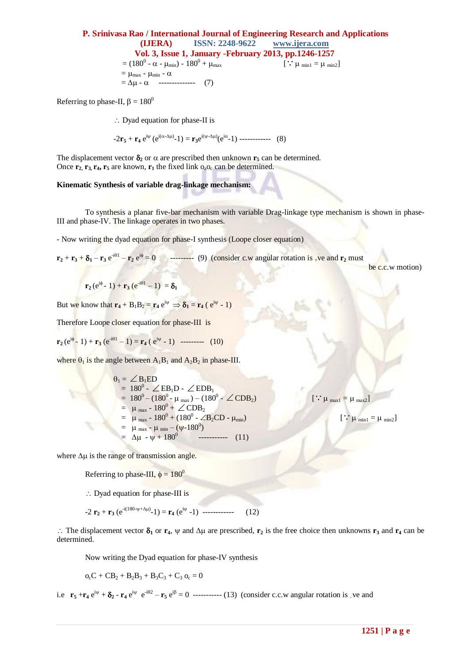#### **P. Srinivasa Rao / International Journal of Engineering Research and Applications (IJERA) ISSN: 2248-9622 www.ijera.com Vol. 3, Issue 1, January -February 2013, pp.1246-1257**  $= (180^0 - \alpha - \mu_{min}) - 180^0 + \mu_{max}$  $\therefore$   $\mu$  min1 =  $\mu$  min2]  $= \mu_{max} - \mu_{min} - \alpha$  $= \Delta \mu - \alpha$  -------------- (7)

Referring to phase-II,  $\beta = 180^\circ$ 

 $\therefore$  Dyad equation for phase-II is

 $-2\mathbf{r}_5 + \mathbf{r}_4 e^{i\psi} (e^{i(\alpha - \Delta \mu)} - 1) = \mathbf{r}_3 e^{i(\psi - \Delta \mu)} (e^{i\alpha} - 1)$  ------------ (8)

The displacement vector  $\delta_2$  or  $\alpha$  are prescribed then unknown  $\mathbf{r}_5$  can be determined. Once  $\mathbf{r}_2$ ,  $\mathbf{r}_3$ ,  $\mathbf{r}_4$ ,  $\mathbf{r}_5$  are known,  $\mathbf{r}_1$  the fixed link  $o_a o_c$  can be determined.

#### **Kinematic Synthesis of variable drag-linkage mechanism:**

To synthesis a planar five-bar mechanism with variable Drag-linkage type mechanism is shown in phase-III and phase-IV. The linkage operates in two phases.

- Now writing the dyad equation for phase-I synthesis (Loope closer equation)

 $\mathbf{r}_2 + \mathbf{r}_3 + \delta_1 - \mathbf{r}_3 e^{i\theta} - \mathbf{r}_2 e^{i\phi} = 0$  --------- (9) (consider c.w angular rotation is <sub>+</sub>ve and  $\mathbf{r}_2$  must

be c.c.w motion)

 $\therefore$   $\mu$  max<sub>1</sub> =  $\mu$  max<sub>2</sub>]

 $\therefore$   $\mu$  min1 =  $\mu$  min2]

$$
\mathbf{r}_2(e^{i\phi}-1)+\mathbf{r}_3(e^{-i\theta 1}-1)=\delta_1
$$

But we know that  $\mathbf{r}_4 + \mathbf{B}_1 \mathbf{B}_2 = \mathbf{r}_4 e^{\mathbf{i}\psi} \Rightarrow \delta_1 = \mathbf{r}_4 (e^{\mathbf{i}\psi} - 1)$ 

Therefore Loope closer equation for phase-III is

$$
\mathbf{r}_2(e^{i\phi} - 1) + \mathbf{r}_3(e^{-i\theta 1} - 1) = \mathbf{r}_4(e^{i\psi} - 1) \quad \text{---} \tag{10}
$$

where  $\theta_1$  is the angle between  $A_1B_1$  and  $A_2B_2$  in phase-III.

 $\theta_1 = \angle B_1ED$  $= 180^0$  -  $\angle$  EB<sub>1</sub>D -  $\angle$  EDB<sub>1</sub>  $= 180^0 - (180^0 - \mu_{max}) - (180^0 - \angle CDB_2)$  $= \mu_{max} - 180^0 + \angle CDB_2$  $= \mu_{\text{max}} - 180^0 + (180^0 - \angle B_2CD - \mu_{\text{min}})$ =  $\mu$  max -  $\mu$  min – ( $\psi$ -180<sup>0</sup>)  $=$   $\Delta \mu$  -  $\psi$  + 180<sup>0</sup> ----------- (11)

where  $\Delta \mu$  is the range of transmission angle.

Referring to phase-III,  $\phi = 180^\circ$ 

 $\therefore$  Dyad equation for phase-III is

 $-\frac{2 \mathbf{r}_2 + \mathbf{r}_3}{(e^{-i(180-\psi+\Delta\mu)}-1)} = \mathbf{r}_4 (e^{i\psi} - 1)$  ------------- (12)

 $\therefore$  The displacement vector  $\delta_1$  or  $\mathbf{r}_4$ ,  $\psi$  and  $\Delta\mu$  are prescribed,  $\mathbf{r}_2$  is the free choice then unknowns  $\mathbf{r}_3$  and  $\mathbf{r}_4$  can be determined.

Now writing the Dyad equation for phase-IV synthesis

$$
o_cC + CB_2 + B_2B_3 + B_3C_3 + C_3 o_c = 0
$$

i.e  $\mathbf{r}_5 + \mathbf{r}_4 e^{i\psi} + \delta_2 - \mathbf{r}_4 e^{i\psi} e^{-i\theta} - \mathbf{r}_5 e^{i\beta} = 0$  ----------- (13) (consider c.c.w angular rotation is –ve and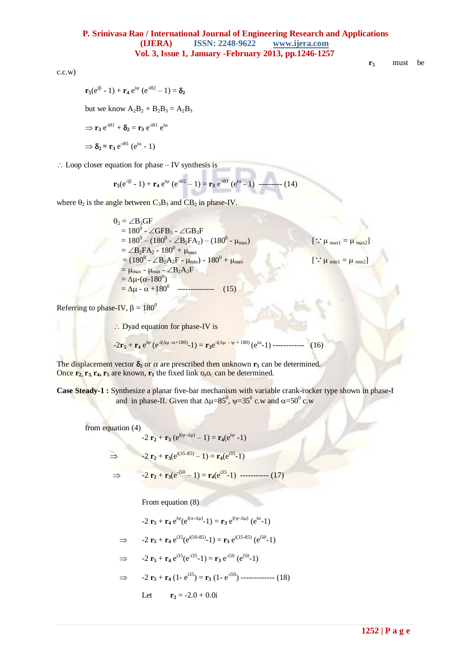c.c.w)

$$
\mathbf{r}_5 \qquad \text{must} \quad \text{be}
$$

$$
\mathbf{r}_5(e^{i\beta} - 1) + \mathbf{r}_4 e^{i\psi} (e^{i\theta 2} - 1) = \delta_2
$$
  
but we know  $A_2B_2 + B_2B_3 = A_2B_3$   

$$
\Rightarrow \mathbf{r}_3 e^{i\theta 1} + \delta_2 = \mathbf{r}_3 e^{i\theta 1} e^{i\alpha}
$$
  

$$
\Rightarrow \delta_2 = \mathbf{r}_3 e^{i\theta 1} (e^{i\alpha} - 1)
$$

 $\therefore$  Loop closer equation for phase – IV synthesis is

$$
\mathbf{r}_5(e^{i\beta} - 1) + \mathbf{r}_4 e^{i\psi} (e^{i\theta 2} - 1) = \mathbf{r}_3 e^{i\theta 1} (e^{i\alpha} - 1) \ \text{---} \tag{14}
$$

where  $\theta_2$  is the angle between  $C_3B_3$  and  $CB_2$  in phase-IV.

 $\theta_2 = \angle B_3GF$  $= 180^0 - \angle GFB_3 - \angle GB_3F$  $= 180^0 - (180^0 - \angle B_2FA_2) - (180^0 - \mu_{max})$  $\therefore \mu_{\text{max1}} = \mu_{\text{max2}}$  $=\angle B_2FA_2 - 180^0 + \mu_{max}$  $= (180^0 - \angle B_2A_2F - \mu_{min}) - 180^0 + \mu_{max}$  $\therefore \mu_{min1} = \mu_{min2}$  $= \mu_{max} - \mu_{min} - \angle B_2 A_2 F$  $= \Delta \mu$ - $(\alpha$ -180<sup>0</sup>)  $=\Delta \mu - \alpha + 180^\circ$  $(15)$ 

Referring to phase-IV,  $\beta = 180^\circ$ 

∴ Dyad equation for phase-IV is

$$
-2r_5 + r_4 e^{i\psi} (e^{-i(\Delta\mu - \alpha + 180)} - 1) = r_3 e^{-i(\Delta\mu - \psi + 180)} (e^{i\alpha} - 1) \dots \dots \dots \dots \tag{16}
$$

The displacement vector  $\delta_2$  or  $\alpha$  are prescribed then unknown  $\mathbf{r}_5$  can be determined. Once  $\mathbf{r}_2$ ,  $\mathbf{r}_3$ ,  $\mathbf{r}_4$ ,  $\mathbf{r}_5$  are known,  $\mathbf{r}_1$  the fixed link  $\mathbf{o}_a \mathbf{o}_c$  can be determined.

**Case Steady-1 :** Synthesize a planar five-bar mechanism with variable crank-rocker type shown in phase-I and in phase-II. Given that  $\Delta \mu = 85^\circ$ ,  $\psi = 35^\circ$  c.w and  $\alpha = 50^\circ$  c.w

from equation (4)

$$
-2 \mathbf{r}_2 + \mathbf{r}_3 (e^{i(\psi - \Delta \mu)} - 1) = \mathbf{r}_4 (e^{i\psi} - 1)
$$
  
\n⇒ 
$$
-2 \mathbf{r}_2 + \mathbf{r}_3 (e^{i(35-85)} - 1) = \mathbf{r}_4 (e^{i35} - 1)
$$
  
\n⇒ 
$$
-2 \mathbf{r}_2 + \mathbf{r}_3 (e^{-i50} - 1) = \mathbf{r}_4 (e^{i35} - 1) \quad \dots \quad (17)
$$

From equation (8)

$$
-2\ \mathbf{r}_5+\mathbf{r}_4\ e^{i\psi}(e^{i(\alpha-\Delta\mu)}-1)=\mathbf{r}_3\ e^{i(\psi-\Delta\mu)}\ (e^{i\alpha}-1)
$$

$$
\Rightarrow \qquad -2 \; \mathbf{r}_5 + \mathbf{r}_4 \; e^{i35} (e^{i(50-85)} - 1) = \mathbf{r}_3 \; e^{i(35-85)} \; (e^{i50} - 1)
$$

$$
\Rightarrow
$$
 -2 **r**<sub>5</sub> + **r**<sub>4</sub> e<sup>i35</sup>(e<sup>-i35</sup>-1) = **r**<sub>3</sub> e<sup>-i50</sup> (e<sup>i50</sup>-1)

$$
\Rightarrow \qquad -2 \; \mathbf{r}_5 + \mathbf{r}_4 \left( 1 - e^{i35} \right) = \mathbf{r}_3 \left( 1 - e^{-i50} \right) \cdots \cdots \cdots \cdots \cdots \quad (18)
$$

Let 
$$
r_2 = -2.0 + 0.0i
$$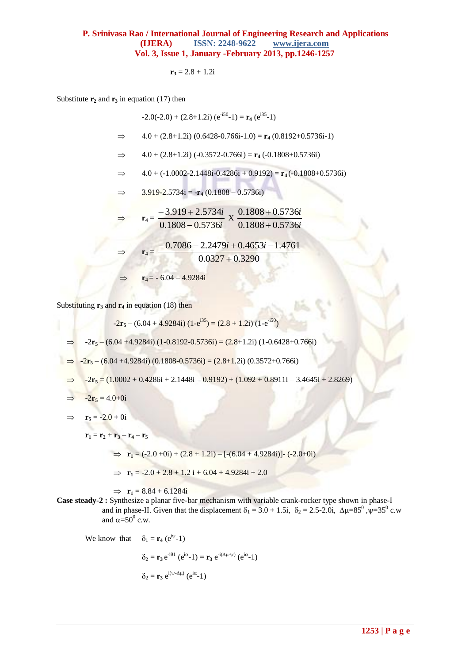$$
\mathbf{r_3} = 2.8 + 1.2i
$$

Substitute  $\mathbf{r}_2$  and  $\mathbf{r}_3$  in equation (17) then

$$
-2.0(-2.0) + (2.8+1.2i) (e^{-i50} - 1) = \mathbf{r}_4 (e^{i35} - 1)
$$
  
\n
$$
\Rightarrow 4.0 + (2.8+1.2i) (0.6428 - 0.766i - 1.0) = \mathbf{r}_4 (0.8192 + 0.5736i - 1)
$$
  
\n
$$
\Rightarrow 4.0 + (2.8+1.2i) (-0.3572 - 0.766i) = \mathbf{r}_4 (-0.1808 + 0.5736i)
$$
  
\n
$$
\Rightarrow 4.0 + (-1.0002 - 2.1448i - 0.4286i + 0.9192) = \mathbf{r}_4 (-0.1808 + 0.5736i)
$$
  
\n
$$
\Rightarrow 3.919 - 2.5734i = -\mathbf{r}_4 (0.1808 - 0.5736i)
$$
  
\n
$$
\Rightarrow \mathbf{r}_4 = \frac{-3.919 + 2.5734i}{0.1808 - 0.5736i} \times \frac{0.1808 + 0.5736i}{0.1808 + 0.5736i}
$$
  
\n
$$
\Rightarrow \mathbf{r}_4 = \frac{-0.7086 - 2.2479i + 0.4653i - 1.4761}{0.0327 + 0.3290}
$$
  
\n
$$
\Rightarrow \mathbf{r}_4 = -6.04 - 4.9284i
$$

Substituting  $\mathbf{r}_3$  and  $\mathbf{r}_4$  in equation (18) then

$$
-2\mathbf{r}_5 - (6.04 + 4.9284i) (1-e^{i35}) = (2.8 + 1.2i) (1-e^{-i50})
$$

 $\Rightarrow$  **-2r**<sub>5</sub> – (6.04 +4.9284i) (1-0.8192-0.5736i) = (2.8+1.2i) (1-0.6428+0.766i)

**-**2**r<sup>5</sup>** – (6.04 +4.9284i) (0.1808-0.5736i) = (2.8+1.2i) (0.3572+0.766i)

$$
\Rightarrow -2\mathbf{r}_5 = (1.0002 + 0.4286i + 2.1448i - 0.9192) + (1.092 + 0.8911i - 3.4645i + 2.8269)
$$

$$
\Rightarrow -2\mathbf{r}_5 = 4.0 + 0i
$$

$$
\Rightarrow \mathbf{r}_5 = -2.0 + 0i
$$

$$
\mathbf{r}_1 = \mathbf{r}_2 + \mathbf{r}_3 - \mathbf{r}_4 - \mathbf{r}_5
$$

$$
\Rightarrow \mathbf{r_1} = (-2.0 + 0i) + (2.8 + 1.2i) - [-(6.04 + 4.9284i)] - (-2.0 + 0i)
$$

$$
\Rightarrow \mathbf{r_1} = -2.0 + 2.8 + 1.2 \mathbf{i} + 6.04 + 4.9284 \mathbf{i} + 2.0
$$

 $\implies$  **r**<sub>1</sub> = 8.84 + 6.1284i

**Case steady-2 :** Synthesize a planar five-bar mechanism with variable crank-rocker type shown in phase-I and in phase-II. Given that the displacement  $\delta_1 = 3.0 + 1.5i$ ,  $\delta_2 = 2.5 - 2.0i$ ,  $\Delta \mu = 85^\circ$ ,  $\psi = 35^\circ$  c.w and  $\alpha = 50^0$  c.w.

We know that 
$$
\delta_1 = \mathbf{r}_4 (e^{i\psi} - 1)
$$

 $\delta_2 = \mathbf{r}_3 e^{-i\theta_1}$  ( $e^{i\alpha_2} - 1$ ) =  $\mathbf{r}_3 e^{-i(\Delta\mu - \psi)}$  ( $e^{i\alpha_2} - 1$ )

$$
\delta_2 = \mathbf{r}_3 e^{i(\psi - \Delta \mu)} (e^{i\alpha} - 1)
$$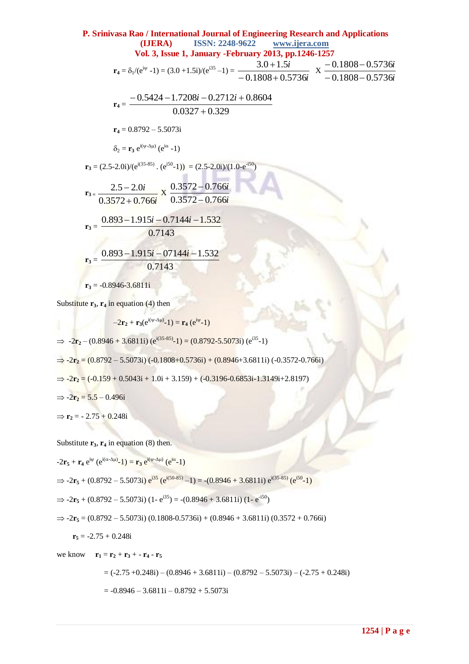P. Srinivasa Rao / International Journal of Engineering Research and Applications  
\n(LIERA) ISBN: 2248-9622 www.ijera.com  
\nVol. 3, Issue 1, January -February 2013, pp.1246-1257  
\n
$$
r_4 = \delta_1/(e^{iy} - 1) = (3.0 + 1.5i)/(e^{i35} - 1) = \frac{3.0 + 1.5i}{-0.1808 + 0.5736i} \times \frac{-0.1808 - 0.5736i}{-0.1808 - 0.5736i}
$$
\n
$$
r_4 = \frac{-0.5424 - 1.7208i - 0.2712i + 0.8604}{0.0327 + 0.329}
$$
\n
$$
r_4 = 0.8792 - 5.5073i
$$
\n
$$
\delta_2 = r_3 e^{i(y-\Delta\mu)} (e^{i\alpha} - 1)
$$
\n
$$
r_3 = (2.5 - 2.0i)/(e^{i(35-85)} \cdot (e^{i50} - 1)) = (2.5 - 2.0i)/(1.0 - e^{-i50})
$$
\n
$$
r_3 = \frac{2.5 - 2.0i}{0.3572 + 0.766i} \times \frac{0.3572 - 0.766i}{0.3572 - 0.766i}
$$
\n
$$
r_3 = \frac{0.893 - 1.915i - 0.7144i - 1.532}{0.7143}
$$
\n
$$
r_3 = \frac{0.893 - 1.915i - 0.7144i - 1.532}{0.7143}
$$
\n
$$
r_3 = -0.8946 - 3.6811i
$$

Substitute  $\mathbf{r}_3$ ,  $\mathbf{r}_4$  in equation (4) then

$$
-2\mathbf{r}_2 + \mathbf{r}_3(e^{i(\psi-\Delta\mu)}-1) = \mathbf{r}_4 (e^{i\psi}-1)
$$
  
\n
$$
\Rightarrow -2\mathbf{r}_2 - (0.8946 + 3.6811i) (e^{i(35-85)}-1) = (0.8792 - 5.5073i) (e^{i35}-1)
$$
  
\n
$$
\Rightarrow -2\mathbf{r}_2 = (0.8792 - 5.5073i) (-0.1808 + 0.5736i) + (0.8946 + 3.6811i) (-0.3572 - 0.766i)
$$
  
\n
$$
\Rightarrow -2\mathbf{r}_2 = (-0.159 + 0.5043i + 1.0i + 3.159) + (-0.3196 - 0.6853i - 1.3149i + 2.8197)
$$
  
\n
$$
\Rightarrow -2\mathbf{r}_2 = 5.5 - 0.496i
$$
  
\n
$$
\Rightarrow \mathbf{r}_2 = -2.75 + 0.248i
$$

Substitute  $\mathbf{r}_3$ ,  $\mathbf{r}_4$  in equation (8) then.

 $-2\mathbf{r}_5 + \mathbf{r}_4 e^{i\psi} (e^{i(\alpha - \Delta \mu)} - 1) = \mathbf{r}_3 e^{i(\psi - \Delta \mu)} (e^{i\alpha} - 1)$ 

$$
\Rightarrow -2\mathbf{r}_5 + (0.8792 - 5.5073i) e^{i35} (e^{i(50 \cdot 85)} - 1) = -(0.8946 + 3.6811i) e^{i(35 \cdot 85)} (e^{i50} - 1)
$$

$$
\Rightarrow 2\mathbf{r}_5 + (0.8792 - 5.5073i) (1 - e^{i35}) = -(0.8946 + 3.6811i) (1 - e^{-i50})
$$

$$
\Rightarrow 2\mathbf{r}_5 = (0.8792 - 5.5073i) (0.1808 - 0.5736i) + (0.8946 + 3.6811i) (0.3572 + 0.766i)
$$

**r<sup>5</sup>** = -2.75 + 0.248i

we know  $\mathbf{r}_1 = \mathbf{r}_2 + \mathbf{r}_3 + \mathbf{r}_4 - \mathbf{r}_5$ 

 $= (-2.75 + 0.248i) - (0.8946 + 3.6811i) - (0.8792 - 5.5073i) - (-2.75 + 0.248i)$ 

 $= -0.8946 - 3.6811i - 0.8792 + 5.5073i$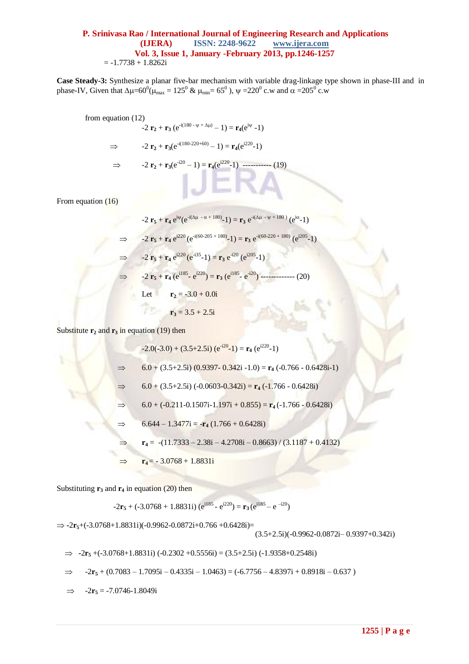**Case Steady-3:** Synthesize a planar five-bar mechanism with variable drag-linkage type shown in phase-III and in phase-IV, Given that  $\Delta \mu = 60^0 (\mu_{max} = 125^0 \& \mu_{min} = 65^0)$ ,  $\psi = 220^0$  c.w and  $\alpha = 205^0$  c.w

from equation (12)  
\n
$$
-2 \mathbf{r}_2 + \mathbf{r}_3 (e^{-i(180 - \psi + \Delta \mu)} - 1) = \mathbf{r}_4 (e^{i\psi} - 1)
$$
\n
$$
\Rightarrow -2 \mathbf{r}_2 + \mathbf{r}_3 (e^{-i(180 - 220 + 60)} - 1) = \mathbf{r}_4 (e^{i220} - 1)
$$
\n
$$
\Rightarrow -2 \mathbf{r}_2 + \mathbf{r}_3 (e^{-i20} - 1) = \mathbf{r}_4 (e^{i220} - 1) \quad \text{and} \quad (19)
$$
\nFrom equation (16)  
\n
$$
-2 \mathbf{r}_5 + \mathbf{r}_4 e^{i\psi} (e^{-i(\Delta \mu - \alpha + 180)} - 1) = \mathbf{r}_3 e^{-i(\Delta \mu - \psi + 180)} (e^{i\alpha} - 1)
$$
\n
$$
\Rightarrow -2 \mathbf{r}_5 + \mathbf{r}_4 e^{i220} (e^{-i(60 - 205 + 180)} - 1) = \mathbf{r}_3 e^{-i(60 - 220 + 180)} (e^{i205} - 1)
$$

 $\Rightarrow$  -2 **r**<sub>5</sub> + **r**<sub>4</sub> e<sup>220</sup> (e<sup>-135</sup>-1) = **r**<sub>3</sub> e<sup>-120</sup> (e<sup>1205</sup>-1)

 $\Rightarrow$  **-2 r<sub>5</sub> + r<sub>4</sub>** (e<sup>i185</sup> - e<sup>i220</sup>) = **r**<sub>3</sub> (e<sup>i185</sup> - e<sup>-i20</sup>) -------------- (20)

Let 
$$
\mathbf{r}_2 = -3.0 + 0.0i
$$

$$
\mathbf{r}_3 = 3.5 + 2.5\mathbf{i}
$$

Substitute  $\mathbf{r}_2$  and  $\mathbf{r}_3$  in equation (19) then

$$
-2.0(-3.0) + (3.5+2.5i) (e^{-20} - 1) = \mathbf{r}_4 (e^{220} - 1)
$$
  
\n
$$
\Rightarrow 6.0 + (3.5+2.5i) (0.9397 - 0.342i - 1.0) = \mathbf{r}_4 (-0.766 - 0.6428i - 1)
$$
  
\n
$$
\Rightarrow 6.0 + (3.5+2.5i) (-0.0603 - 0.342i) = \mathbf{r}_4 (-1.766 - 0.6428i)
$$
  
\n
$$
\Rightarrow 6.0 + (-0.211 - 0.1507i - 1.197i + 0.855) = \mathbf{r}_4 (-1.766 - 0.6428i)
$$
  
\n
$$
\Rightarrow 6.644 - 1.3477i = -\mathbf{r}_4 (1.766 + 0.6428i)
$$
  
\n
$$
\Rightarrow \mathbf{r}_4 = -(11.7333 - 2.38i - 4.2708i - 0.8663) / (3.1187 + 0.4132)
$$
  
\n
$$
\Rightarrow \mathbf{r}_4 = -3.0768 + 1.8831i
$$

Substituting  $\mathbf{r}_3$  and  $\mathbf{r}_4$  in equation (20) then

$$
-2\mathbf{r}_5 + (-3.0768 + 1.8831i) (e^{i185} - e^{i220}) = \mathbf{r}_3 (e^{i185} - e^{-i20})
$$

 $\Rightarrow$  **-2r**<sub>5</sub>+(-3.0768+1.8831i)(-0.9962-0.0872i+0.766 +0.6428i)= (3.5+2.5i)(-0.9962-0.0872i– 0.9397+0.342i)

 $\Rightarrow$  **-2r**<sub>5</sub> +(-3.0768+1.8831i) (-0.2302 +0.5556i) = (3.5+2.5i) (-1.9358+0.2548i)

$$
\Rightarrow \quad -2\mathbf{r}_5 + (0.7083 - 1.7095i - 0.4335i - 1.0463) = (-6.7756 - 4.8397i + 0.8918i - 0.637)
$$

 $\Rightarrow$  -2 $\mathbf{r}_5$  = -7.0746-1.8049i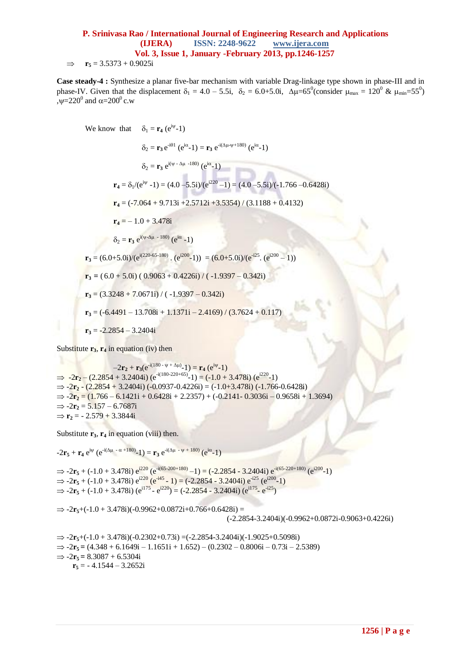$\Rightarrow$  **r**<sub>5</sub> = 3.5373 + 0.9025i

**Case steady-4 :** Synthesize a planar five-bar mechanism with variable Drag-linkage type shown in phase-III and in phase-IV. Given that the displacement  $\delta_1 = 4.0 - 5.5i$ ,  $\delta_2 = 6.0 + 5.0i$ ,  $\Delta \mu = 65^\circ$  (consider  $\mu_{\text{max}} = 120^\circ$  &  $\mu_{\text{min}} = 55^\circ$ ) , $\psi = 220^0$  and  $\alpha = 200^0$  c.w

We know that 
$$
\delta_1 = \mathbf{r}_4 (e^{i\psi} - 1)
$$
  
\n $\delta_2 = \mathbf{r}_3 e^{-i\theta 1} (e^{i\alpha} - 1) = \mathbf{r}_3 e^{-i(\Delta \mu - \psi + 180)} (e^{i\alpha} - 1)$   
\n $\delta_2 = \mathbf{r}_3 e^{i(\psi - \Delta \mu - 180)} (e^{i\alpha} - 1)$   
\n $\mathbf{r}_4 = \delta_1 / (e^{i\psi} - 1) = (4.0 - 5.5i) / (e^{i220} - 1) = (4.0 - 5.5i) / (-1.766 - 0.6428i)$   
\n $\mathbf{r}_4 = (-7.064 + 9.713i + 2.5712i + 3.5354) / (3.1188 + 0.4132)$   
\n $\mathbf{r}_4 = -1.0 + 3.478i$   
\n $\delta_2 = \mathbf{r}_3 e^{i(\psi - \Delta \mu - 180)} (e^{i\alpha} - 1)$   
\n $\mathbf{r}_3 = (6.0 + 5.0i) / (e^{i(220 - 65 - 180)} \cdot (e^{i200} - 1)) = (6.0 + 5.0i) / (e^{-i25} \cdot (e^{i200} - 1))$   
\n $\mathbf{r}_3 = (6.0 + 5.0i) (0.9063 + 0.4226i) / (-1.9397 - 0.342i)$   
\n $\mathbf{r}_3 = (3.3248 + 7.0671i) / (-1.9397 - 0.342i)$   
\n $\mathbf{r}_3 = (-6.4491 - 13.708i + 1.1371i - 2.4169) / (3.7624 + 0.117)$   
\n $\mathbf{r}_3 = -2.2854 - 3.2404i$ 

Substitute  $\mathbf{r}_3$ ,  $\mathbf{r}_4$  in equation (iv) then

 $-2\mathbf{r}_2 + \mathbf{r}_3(e^{-i(180 - \psi + \Delta\mu)} - 1) = \mathbf{r}_4(e^{i\psi} - 1)$  $\Rightarrow$  -2 $\mathbf{r}_2$  – (2.2854 + 3.2404i) (e<sup>-i(180-220+65)</sup>-1) = (-1.0 + 3.478i) (e<sup>i220</sup>-1)  $\Rightarrow$  -2 $\mathbf{r}_2$  - (2.2854 + 3.2404i) (-0.0937-0.4226i) = (-1.0+3.478i) (-1.766-0.6428i)  $\Rightarrow$   $-2r_2 = (1.766 - 6.1421i + 0.6428i + 2.2357) + (-0.2141 - 0.3036i - 0.9658i + 1.3694)$  $\Rightarrow$  -2 $\mathbf{r}_2 = 5.157 - 6.7687i$  $\Rightarrow$  **r**<sub>2</sub> = - 2.579 + 3.3844i

Substitute  $\mathbf{r}_3$ ,  $\mathbf{r}_4$  in equation (viii) then.

$$
-2\mathbf{r}_5+\mathbf{r}_4\,\mathrm{e}^{\mathrm{i}\psi}\,(\mathrm{e}^{\mathrm{-i}(\Delta\mu\ -\ \alpha\ +180)}\text{-}1)=\mathbf{r}_3\,\mathrm{e}^{\mathrm{-i}(\Delta\mu\ -\ \psi\ +\ 180)}\,(\mathrm{e}^{\mathrm{i}\alpha}\text{-}1)
$$

 $\Rightarrow$  -2**r**<sub>5</sub> + (-1.0 + 3.478i)  $e^{i220}$  ( $e^{i(65-200+180)}$  -1) = (-2.2854 - 3.2404i)  $e^{i(65-220+180)}$  ( $e^{i200}$ -1)  $\Rightarrow$  -2**r**<sub>5</sub> + (-1.0 + 3.478i) e<sup>i220</sup> (e<sup>-i45</sup> - 1) = (-2.2854 - 3.2404i) e<sup>-i25</sup> (e<sup>i200</sup>-1)  $\Rightarrow$  -2**r**<sub>5</sub> + (-1.0 + 3.478i) ( $e^{i175}$  -  $e^{i220}$ ) = (-2.2854 - 3.2404i) ( $e^{i175}$  -  $e^{i25}$ )

 $\Rightarrow$  -2 $\mathbf{r}_5$ +(-1.0 + 3.478i)(-0.9962+0.0872i+0.766+0.6428i) = (-2.2854-3.2404i)(-0.9962+0.0872i-0.9063+0.4226i)

 $\Rightarrow$  -2 $\mathbf{r}_5$ +(-1.0 + 3.478i)(-0.2302+0.73i) =(-2.2854-3.2404i)(-1.9025+0.5098i)  $\Rightarrow$   $-2r_5 = (4.348 + 6.1649i - 1.1651i + 1.652) - (0.2302 - 0.8006i - 0.73i - 2.5389)$  $\Rightarrow$  -2 $\mathbf{r}_5 = 8.3087 + 6.5304\mathbf{i}$ **r<sup>5</sup>** = - 4.1544 – 3.2652i